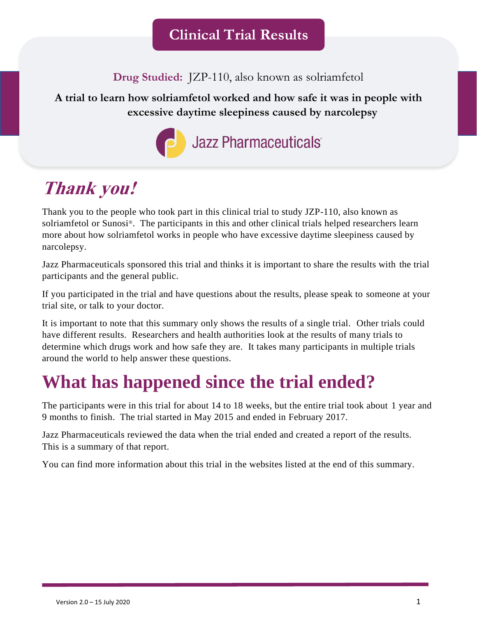**Drug Studied:** JZP-110, also known as solriamfetol

### **A trial to learn how solriamfetol worked and how safe it was in people with excessive daytime sleepiness caused by narcolepsy**



# **Thank you!**

Thank you to the people who took part in this clinical trial to study JZP-110, also known as solriamfetol or Sunosi®. The participants in this and other clinical trials helped researchers learn more about how solriamfetol works in people who have excessive daytime sleepiness caused by narcolepsy.

Jazz Pharmaceuticals sponsored this trial and thinks it is important to share the results with the trial participants and the general public.

If you participated in the trial and have questions about the results, please speak to someone at your trial site, or talk to your doctor.

It is important to note that this summary only shows the results of a single trial. Other trials could have different results. Researchers and health authorities look at the results of many trials to determine which drugs work and how safe they are. It takes many participants in multiple trials around the world to help answer these questions.

# **What has happened since the trial ended?**

The participants were in this trial for about 14 to 18 weeks, but the entire trial took about 1 year and 9 months to finish. The trial started in May 2015 and ended in February 2017.

Jazz Pharmaceuticals reviewed the data when the trial ended and created a report of the results. This is a summary of that report.

You can find more information about this trial in the websites listed at the end of this summary.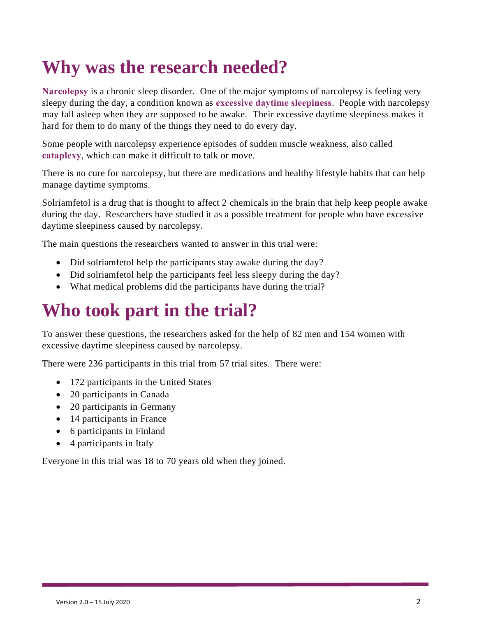# **Why was the research needed?**

**Narcolepsy** is a chronic sleep disorder. One of the major symptoms of narcolepsy is feeling very sleepy during the day, a condition known as **excessive daytime sleepiness**. People with narcolepsy may fall asleep when they are supposed to be awake. Their excessive daytime sleepiness makes it hard for them to do many of the things they need to do every day.

Some people with narcolepsy experience episodes of sudden muscle weakness, also called **cataplexy**, which can make it difficult to talk or move.

There is no cure for narcolepsy, but there are medications and healthy lifestyle habits that can help manage daytime symptoms.

Solriamfetol is a drug that is thought to affect 2 chemicals in the brain that help keep people awake during the day. Researchers have studied it as a possible treatment for people who have excessive daytime sleepiness caused by narcolepsy.

The main questions the researchers wanted to answer in this trial were:

- Did solriamfetol help the participants stay awake during the day?
- Did solriamfetol help the participants feel less sleepy during the day?
- What medical problems did the participants have during the trial?

## **Who took part in the trial?**

To answer these questions, the researchers asked for the help of 82 men and 154 women with excessive daytime sleepiness caused by narcolepsy.

There were 236 participants in this trial from 57 trial sites. There were:

- 172 participants in the United States
- 20 participants in Canada
- 20 participants in Germany
- 14 participants in France
- 6 participants in Finland
- 4 participants in Italy

Everyone in this trial was 18 to 70 years old when they joined.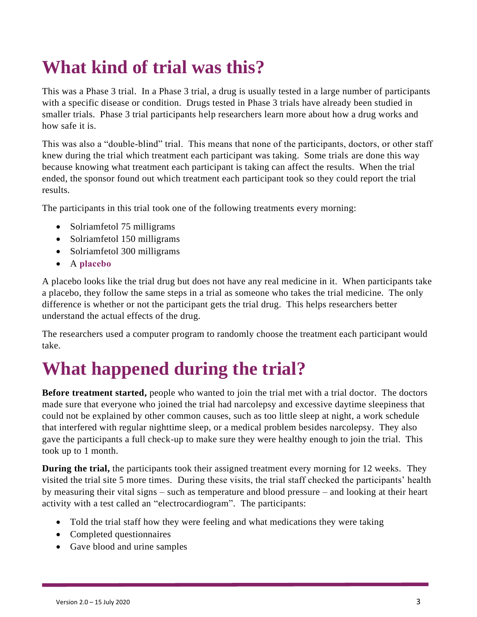# **What kind of trial was this?**

This was a Phase 3 trial. In a Phase 3 trial, a drug is usually tested in a large number of participants with a specific disease or condition. Drugs tested in Phase 3 trials have already been studied in smaller trials. Phase 3 trial participants help researchers learn more about how a drug works and how safe it is.

This was also a "double-blind" trial. This means that none of the participants, doctors, or other staff knew during the trial which treatment each participant was taking. Some trials are done this way because knowing what treatment each participant is taking can affect the results. When the trial ended, the sponsor found out which treatment each participant took so they could report the trial results.

The participants in this trial took one of the following treatments every morning:

- Solriamfetol 75 milligrams
- Solriamfetol 150 milligrams
- Solriamfetol 300 milligrams
- A **placebo**

A placebo looks like the trial drug but does not have any real medicine in it. When participants take a placebo, they follow the same steps in a trial as someone who takes the trial medicine. The only difference is whether or not the participant gets the trial drug. This helps researchers better understand the actual effects of the drug.

The researchers used a computer program to randomly choose the treatment each participant would take.

## **What happened during the trial?**

**Before treatment started,** people who wanted to join the trial met with a trial doctor. The doctors made sure that everyone who joined the trial had narcolepsy and excessive daytime sleepiness that could not be explained by other common causes, such as too little sleep at night, a work schedule that interfered with regular nighttime sleep, or a medical problem besides narcolepsy. They also gave the participants a full check-up to make sure they were healthy enough to join the trial. This took up to 1 month.

**During the trial,** the participants took their assigned treatment every morning for 12 weeks. They visited the trial site 5 more times. During these visits, the trial staff checked the participants' health by measuring their vital signs – such as temperature and blood pressure – and looking at their heart activity with a test called an "electrocardiogram". The participants:

- Told the trial staff how they were feeling and what medications they were taking
- Completed questionnaires
- Gave blood and urine samples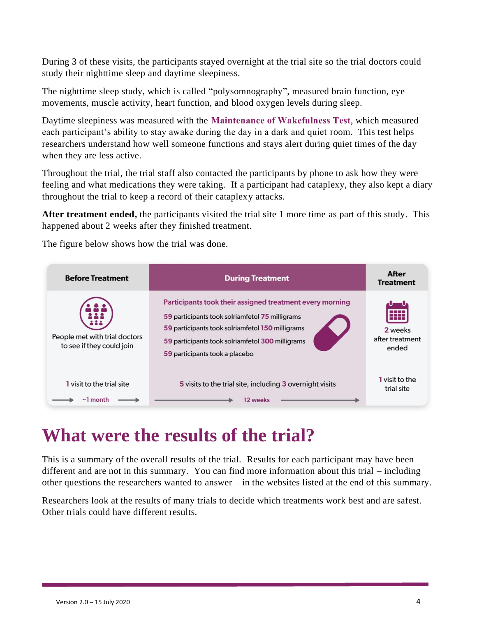During 3 of these visits, the participants stayed overnight at the trial site so the trial doctors could study their nighttime sleep and daytime sleepiness.

The nighttime sleep study, which is called "polysomnography", measured brain function, eye movements, muscle activity, heart function, and blood oxygen levels during sleep.

Daytime sleepiness was measured with the **Maintenance of Wakefulness Test**, which measured each participant's ability to stay awake during the day in a dark and quiet room. This test helps researchers understand how well someone functions and stays alert during quiet times of the day when they are less active.

Throughout the trial, the trial staff also contacted the participants by phone to ask how they were feeling and what medications they were taking. If a participant had cataplexy, they also kept a diary throughout the trial to keep a record of their cataplexy attacks.

**After treatment ended,** the participants visited the trial site 1 more time as part of this study. This happened about 2 weeks after they finished treatment.

The figure below shows how the trial was done.

| <b>Before Treatment</b>                                    | <b>During Treatment</b>                                                                                                                                                                                                                               | After<br><b>Treatment</b>                 |
|------------------------------------------------------------|-------------------------------------------------------------------------------------------------------------------------------------------------------------------------------------------------------------------------------------------------------|-------------------------------------------|
| People met with trial doctors<br>to see if they could join | Participants took their assigned treatment every morning<br>59 participants took solriamfetol 75 milligrams<br>59 participants took solriamfetol 150 milligrams<br>59 participants took solriamfetol 300 milligrams<br>59 participants took a placebo | ŦŦ<br>2 weeks<br>after treatment<br>ended |
| <b>1</b> visit to the trial site                           | 5 visits to the trial site, including 3 overnight visits                                                                                                                                                                                              | <b>1</b> visit to the<br>trial site       |
| $\sim$ ] month                                             | 12 weeks                                                                                                                                                                                                                                              |                                           |

## **What were the results of the trial?**

This is a summary of the overall results of the trial. Results for each participant may have been different and are not in this summary. You can find more information about this trial – including other questions the researchers wanted to answer – in the websites listed at the end of this summary.

Researchers look at the results of many trials to decide which treatments work best and are safest. Other trials could have different results.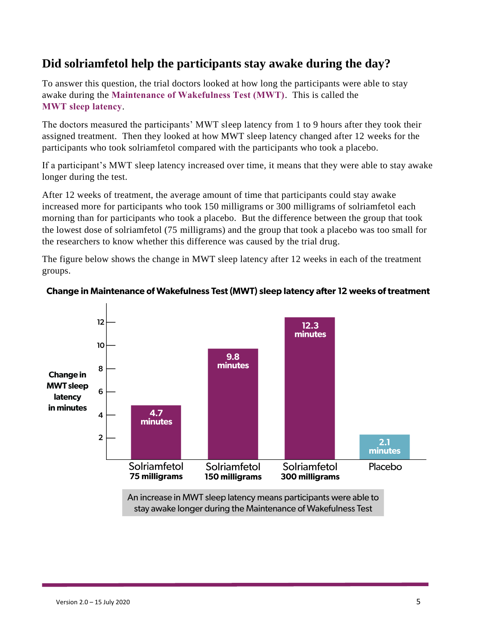### **Did solriamfetol help the participants stay awake during the day?**

To answer this question, the trial doctors looked at how long the participants were able to stay awake during the **Maintenance of Wakefulness Test (MWT)**. This is called the **MWT sleep latency**.

The doctors measured the participants' MWT sleep latency from 1 to 9 hours after they took their assigned treatment. Then they looked at how MWT sleep latency changed after 12 weeks for the participants who took solriamfetol compared with the participants who took a placebo.

If a participant's MWT sleep latency increased over time, it means that they were able to stay awake longer during the test.

After 12 weeks of treatment, the average amount of time that participants could stay awake increased more for participants who took 150 milligrams or 300 milligrams of solriamfetol each morning than for participants who took a placebo. But the difference between the group that took the lowest dose of solriamfetol (75 milligrams) and the group that took a placebo was too small for the researchers to know whether this difference was caused by the trial drug.

The figure below shows the change in MWT sleep latency after 12 weeks in each of the treatment groups.



#### Change in Maintenance of Wakefulness Test (MWT) sleep latency after 12 weeks of treatment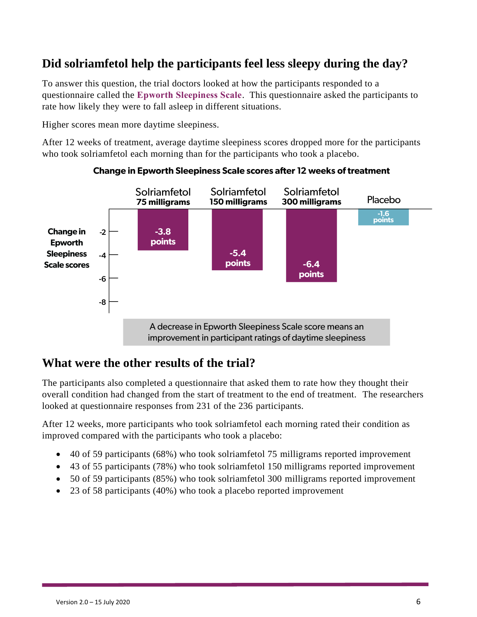## **Did solriamfetol help the participants feel less sleepy during the day?**

To answer this question, the trial doctors looked at how the participants responded to a questionnaire called the **Epworth Sleepiness Scale**. This questionnaire asked the participants to rate how likely they were to fall asleep in different situations.

Higher scores mean more daytime sleepiness.

After 12 weeks of treatment, average daytime sleepiness scores dropped more for the participants who took solriamfetol each morning than for the participants who took a placebo.



#### **Change in Epworth Sleepiness Scale scores after 12 weeks of treatment**

### **What were the other results of the trial?**

The participants also completed a questionnaire that asked them to rate how they thought their overall condition had changed from the start of treatment to the end of treatment. The researchers looked at questionnaire responses from 231 of the 236 participants.

After 12 weeks, more participants who took solriamfetol each morning rated their condition as improved compared with the participants who took a placebo:

- 40 of 59 participants (68%) who took solriamfetol 75 milligrams reported improvement
- 43 of 55 participants (78%) who took solriamfetol 150 milligrams reported improvement
- 50 of 59 participants (85%) who took solriamfetol 300 milligrams reported improvement
- 23 of 58 participants (40%) who took a placebo reported improvement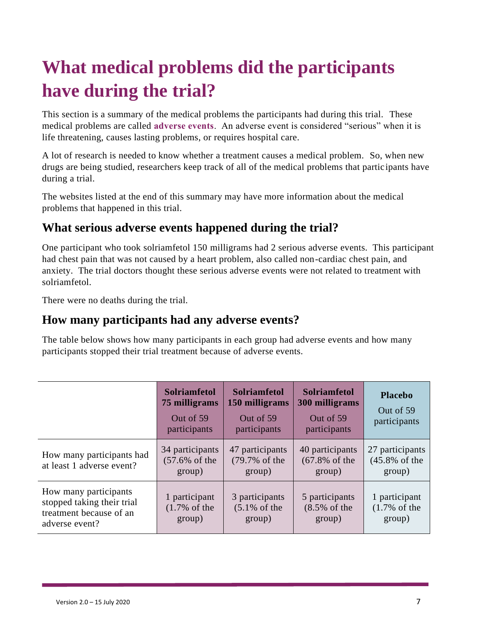# **What medical problems did the participants have during the trial?**

This section is a summary of the medical problems the participants had during this trial. These medical problems are called **adverse events**. An adverse event is considered "serious" when it is life threatening, causes lasting problems, or requires hospital care.

A lot of research is needed to know whether a treatment causes a medical problem. So, when new drugs are being studied, researchers keep track of all of the medical problems that partic ipants have during a trial.

The websites listed at the end of this summary may have more information about the medical problems that happened in this trial.

## **What serious adverse events happened during the trial?**

One participant who took solriamfetol 150 milligrams had 2 serious adverse events. This participant had chest pain that was not caused by a heart problem, also called non-cardiac chest pain, and anxiety. The trial doctors thought these serious adverse events were not related to treatment with solriamfetol.

There were no deaths during the trial.

### **How many participants had any adverse events?**

The table below shows how many participants in each group had adverse events and how many participants stopped their trial treatment because of adverse events.

|                                                                                                  | <b>Solriamfetol</b><br>75 milligrams<br>Out of 59<br>participants | <b>Solriamfetol</b><br>150 milligrams<br>Out of 59<br>participants | <b>Solriamfetol</b><br>300 milligrams<br>Out of 59<br>participants | <b>Placebo</b><br>Out of 59<br>participants            |
|--------------------------------------------------------------------------------------------------|-------------------------------------------------------------------|--------------------------------------------------------------------|--------------------------------------------------------------------|--------------------------------------------------------|
| How many participants had<br>at least 1 adverse event?                                           | 34 participants<br>$(57.6\% \text{ of the})$<br>group)            | 47 participants<br>(79.7% of the<br>group)                         | 40 participants<br>$(67.8\% \text{ of the})$<br>group)             | 27 participants<br>$(45.8\% \text{ of the})$<br>group) |
| How many participants<br>stopped taking their trial<br>treatment because of an<br>adverse event? | 1 participant<br>$(1.7\% \text{ of the})$<br>group)               | 3 participants<br>$(5.1\% \text{ of the})$<br>group)               | 5 participants<br>$(8.5\% \text{ of the})$<br>group)               | 1 participant<br>$(1.7\% \text{ of the})$<br>group)    |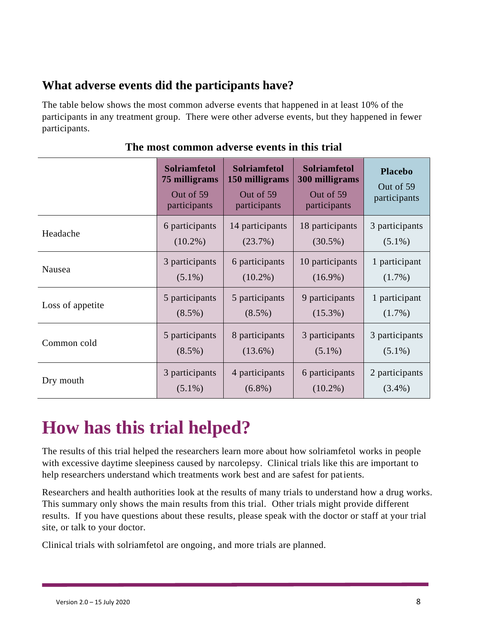### **What adverse events did the participants have?**

The table below shows the most common adverse events that happened in at least 10% of the participants in any treatment group. There were other adverse events, but they happened in fewer participants.

|                  | <b>Solriamfetol</b><br>75 milligrams<br>Out of 59<br>participants | <b>Solriamfetol</b><br>150 milligrams<br>Out of 59<br>participants | <b>Solriamfetol</b><br>300 milligrams<br>Out of 59<br>participants | <b>Placebo</b><br>Out of 59<br>participants |
|------------------|-------------------------------------------------------------------|--------------------------------------------------------------------|--------------------------------------------------------------------|---------------------------------------------|
| Headache         | 6 participants                                                    | 14 participants                                                    | 18 participants                                                    | 3 participants                              |
|                  | $(10.2\%)$                                                        | (23.7%)                                                            | $(30.5\%)$                                                         | $(5.1\%)$                                   |
| Nausea           | 3 participants                                                    | 6 participants                                                     | 10 participants                                                    | 1 participant                               |
|                  | $(5.1\%)$                                                         | $(10.2\%)$                                                         | $(16.9\%)$                                                         | $(1.7\%)$                                   |
| Loss of appetite | 5 participants                                                    | 5 participants                                                     | 9 participants                                                     | 1 participant                               |
|                  | $(8.5\%)$                                                         | $(8.5\%)$                                                          | $(15.3\%)$                                                         | $(1.7\%)$                                   |
| Common cold      | 5 participants                                                    | 8 participants                                                     | 3 participants                                                     | 3 participants                              |
|                  | $(8.5\%)$                                                         | $(13.6\%)$                                                         | $(5.1\%)$                                                          | $(5.1\%)$                                   |
| Dry mouth        | 3 participants                                                    | 4 participants                                                     | 6 participants                                                     | 2 participants                              |
|                  | $(5.1\%)$                                                         | $(6.8\%)$                                                          | $(10.2\%)$                                                         | $(3.4\%)$                                   |

#### **The most common adverse events in this trial**

## **How has this trial helped?**

The results of this trial helped the researchers learn more about how solriamfetol works in people with excessive daytime sleepiness caused by narcolepsy. Clinical trials like this are important to help researchers understand which treatments work best and are safest for patients.

Researchers and health authorities look at the results of many trials to understand how a drug works. This summary only shows the main results from this trial. Other trials might provide different results. If you have questions about these results, please speak with the doctor or staff at your trial site, or talk to your doctor.

Clinical trials with solriamfetol are ongoing, and more trials are planned.